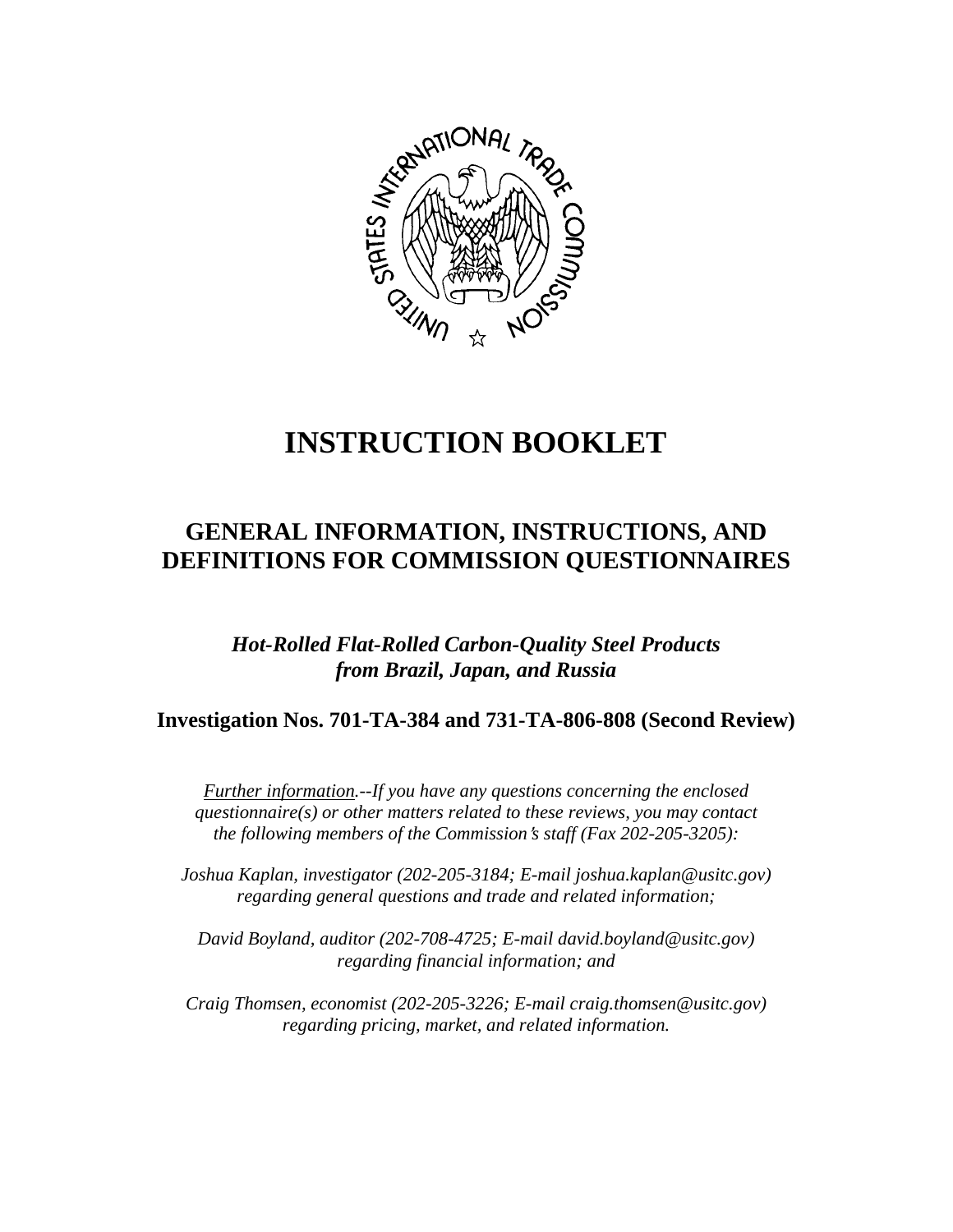

# **INSTRUCTION BOOKLET**

## **GENERAL INFORMATION, INSTRUCTIONS, AND DEFINITIONS FOR COMMISSION QUESTIONNAIRES**

*Hot-Rolled Flat-Rolled Carbon-Quality Steel Products from Brazil, Japan, and Russia*

**Investigation Nos. 701-TA-384 and 731-TA-806-808 (Second Review)**

*Further information.--If you have any questions concerning the enclosed questionnaire(s) or other matters related to these reviews, you may contact the following members of the Commission*=*s staff (Fax 202-205-3205):* 

*Joshua Kaplan, investigator (202-205-3184; E-mail joshua.kaplan@usitc.gov) regarding general questions and trade and related information;* 

 *David Boyland, auditor (202-708-4725; E-mail david.boyland@usitc.gov) regarding financial information; and* 

 *Craig Thomsen, economist (202-205-3226; E-mail craig.thomsen@usitc.gov) regarding pricing, market, and related information.*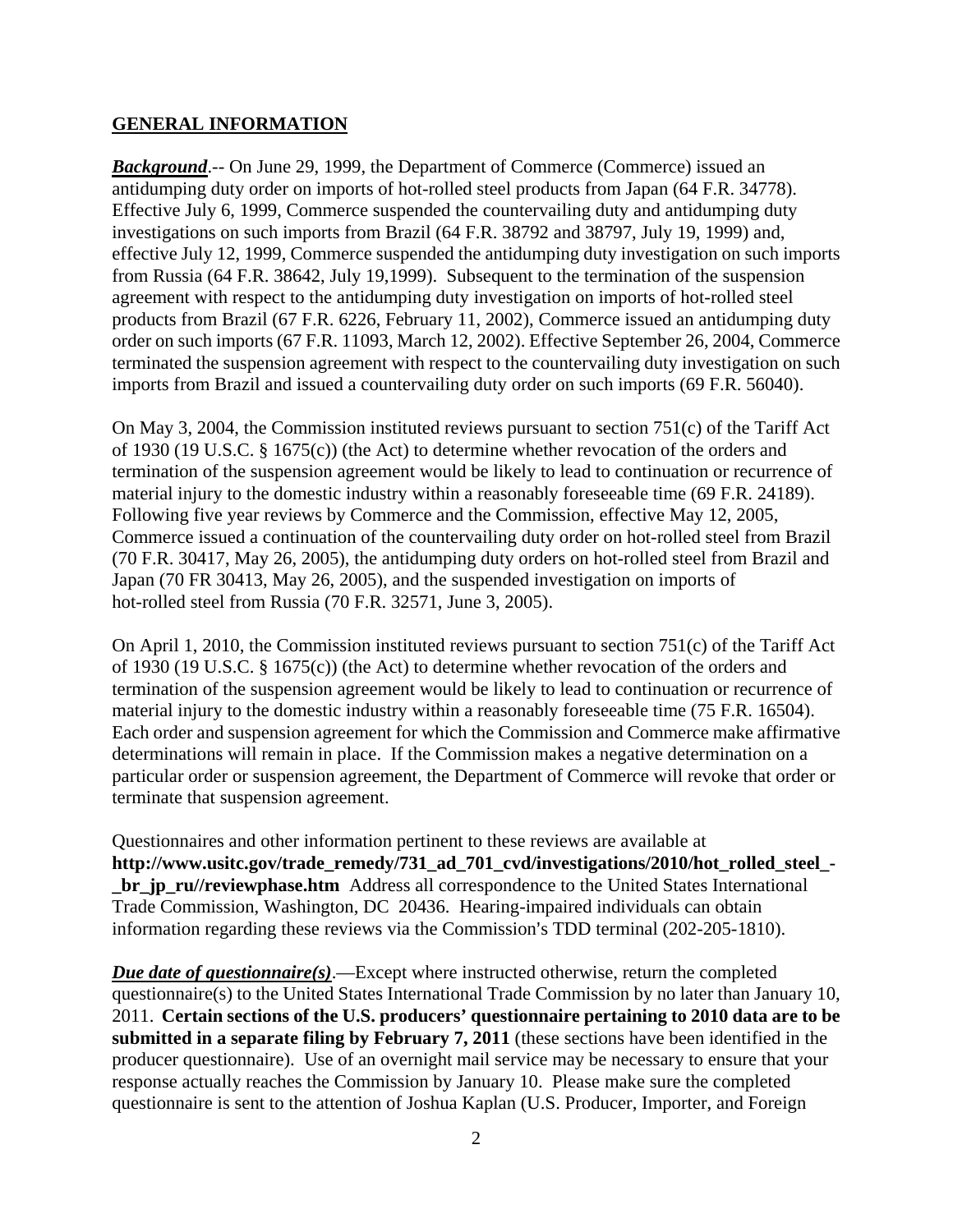#### **GENERAL INFORMATION**

*Background*.-- On June 29, 1999, the Department of Commerce (Commerce) issued an antidumping duty order on imports of hot-rolled steel products from Japan (64 F.R. 34778). Effective July 6, 1999, Commerce suspended the countervailing duty and antidumping duty investigations on such imports from Brazil (64 F.R. 38792 and 38797, July 19, 1999) and, effective July 12, 1999, Commerce suspended the antidumping duty investigation on such imports from Russia (64 F.R. 38642, July 19,1999). Subsequent to the termination of the suspension agreement with respect to the antidumping duty investigation on imports of hot-rolled steel products from Brazil (67 F.R. 6226, February 11, 2002), Commerce issued an antidumping duty order on such imports (67 F.R. 11093, March 12, 2002). Effective September 26, 2004, Commerce terminated the suspension agreement with respect to the countervailing duty investigation on such imports from Brazil and issued a countervailing duty order on such imports (69 F.R. 56040).

On May 3, 2004, the Commission instituted reviews pursuant to section 751(c) of the Tariff Act of 1930 (19 U.S.C. § 1675(c)) (the Act) to determine whether revocation of the orders and termination of the suspension agreement would be likely to lead to continuation or recurrence of material injury to the domestic industry within a reasonably foreseeable time (69 F.R. 24189). Following five year reviews by Commerce and the Commission, effective May 12, 2005, Commerce issued a continuation of the countervailing duty order on hot-rolled steel from Brazil (70 F.R. 30417, May 26, 2005), the antidumping duty orders on hot-rolled steel from Brazil and Japan (70 FR 30413, May 26, 2005), and the suspended investigation on imports of hot-rolled steel from Russia (70 F.R. 32571, June 3, 2005).

On April 1, 2010, the Commission instituted reviews pursuant to section 751(c) of the Tariff Act of 1930 (19 U.S.C. § 1675(c)) (the Act) to determine whether revocation of the orders and termination of the suspension agreement would be likely to lead to continuation or recurrence of material injury to the domestic industry within a reasonably foreseeable time (75 F.R. 16504). Each order and suspension agreement for which the Commission and Commerce make affirmative determinations will remain in place. If the Commission makes a negative determination on a particular order or suspension agreement, the Department of Commerce will revoke that order or terminate that suspension agreement.

Questionnaires and other information pertinent to these reviews are available at **http://www.usitc.gov/trade\_remedy/731\_ad\_701\_cvd/investigations/2010/hot\_rolled\_steel\_ br** jp ru//reviewphase.htm Address all correspondence to the United States International Trade Commission, Washington, DC 20436. Hearing-impaired individuals can obtain information regarding these reviews via the Commission's TDD terminal (202-205-1810).

*Due date of questionnaire(s)*.—Except where instructed otherwise, return the completed questionnaire(s) to the United States International Trade Commission by no later than January 10, 2011. **Certain sections of the U.S. producers' questionnaire pertaining to 2010 data are to be submitted in a separate filing by February 7, 2011** (these sections have been identified in the producer questionnaire). Use of an overnight mail service may be necessary to ensure that your response actually reaches the Commission by January 10. Please make sure the completed questionnaire is sent to the attention of Joshua Kaplan (U.S. Producer, Importer, and Foreign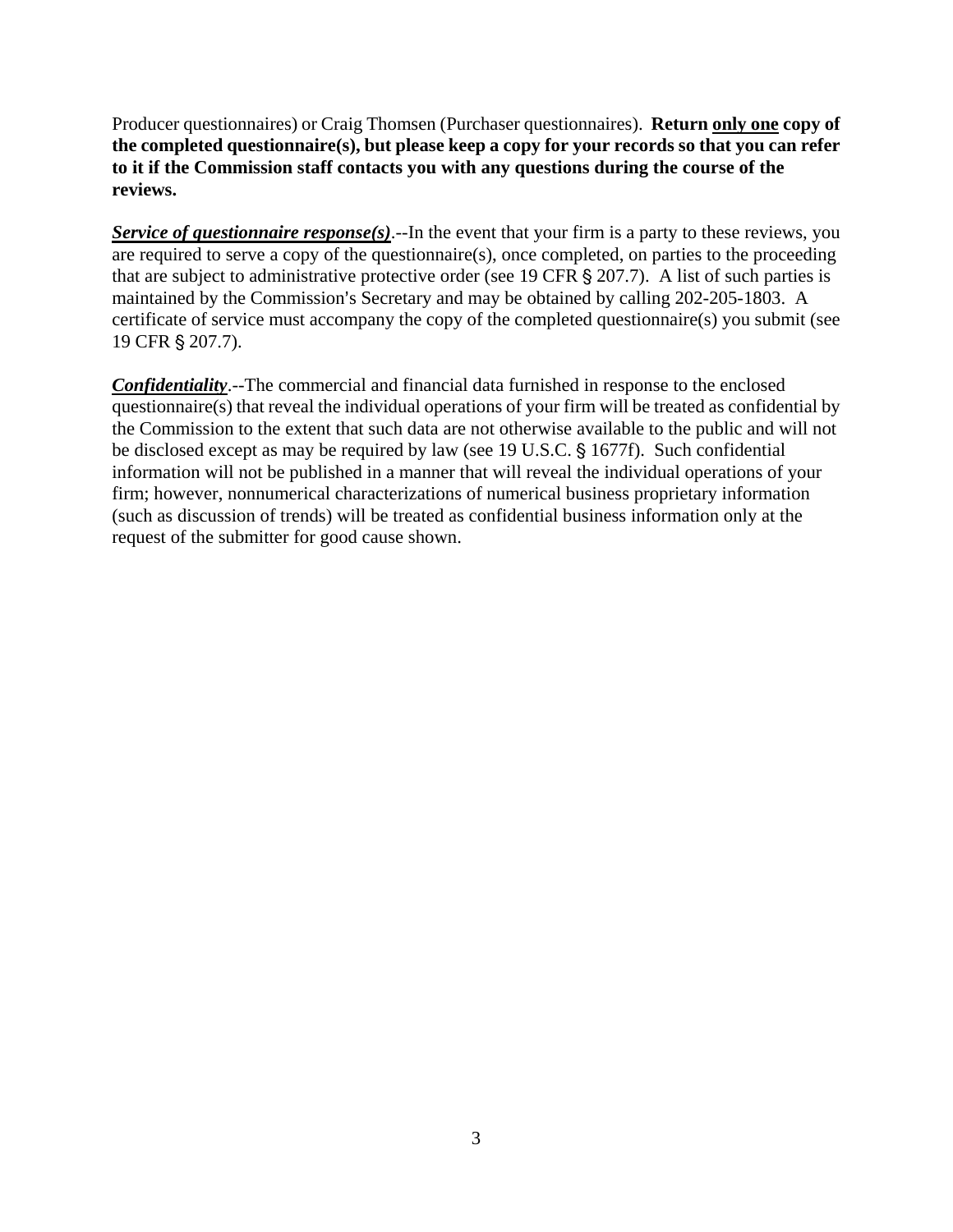Producer questionnaires) or Craig Thomsen (Purchaser questionnaires). **Return only one copy of the completed questionnaire(s), but please keep a copy for your records so that you can refer to it if the Commission staff contacts you with any questions during the course of the reviews.**

*Service of questionnaire response(s)*.--In the event that your firm is a party to these reviews, you are required to serve a copy of the questionnaire(s), once completed, on parties to the proceeding that are subject to administrative protective order (see 19 CFR  $\S 207.7$ ). A list of such parties is maintained by the Commission's Secretary and may be obtained by calling 202-205-1803. A certificate of service must accompany the copy of the completed questionnaire(s) you submit (see 19 CFR § 207.7).

*Confidentiality*.--The commercial and financial data furnished in response to the enclosed questionnaire(s) that reveal the individual operations of your firm will be treated as confidential by the Commission to the extent that such data are not otherwise available to the public and will not be disclosed except as may be required by law (see 19 U.S.C.  $\S$  1677f). Such confidential information will not be published in a manner that will reveal the individual operations of your firm; however, nonnumerical characterizations of numerical business proprietary information (such as discussion of trends) will be treated as confidential business information only at the request of the submitter for good cause shown.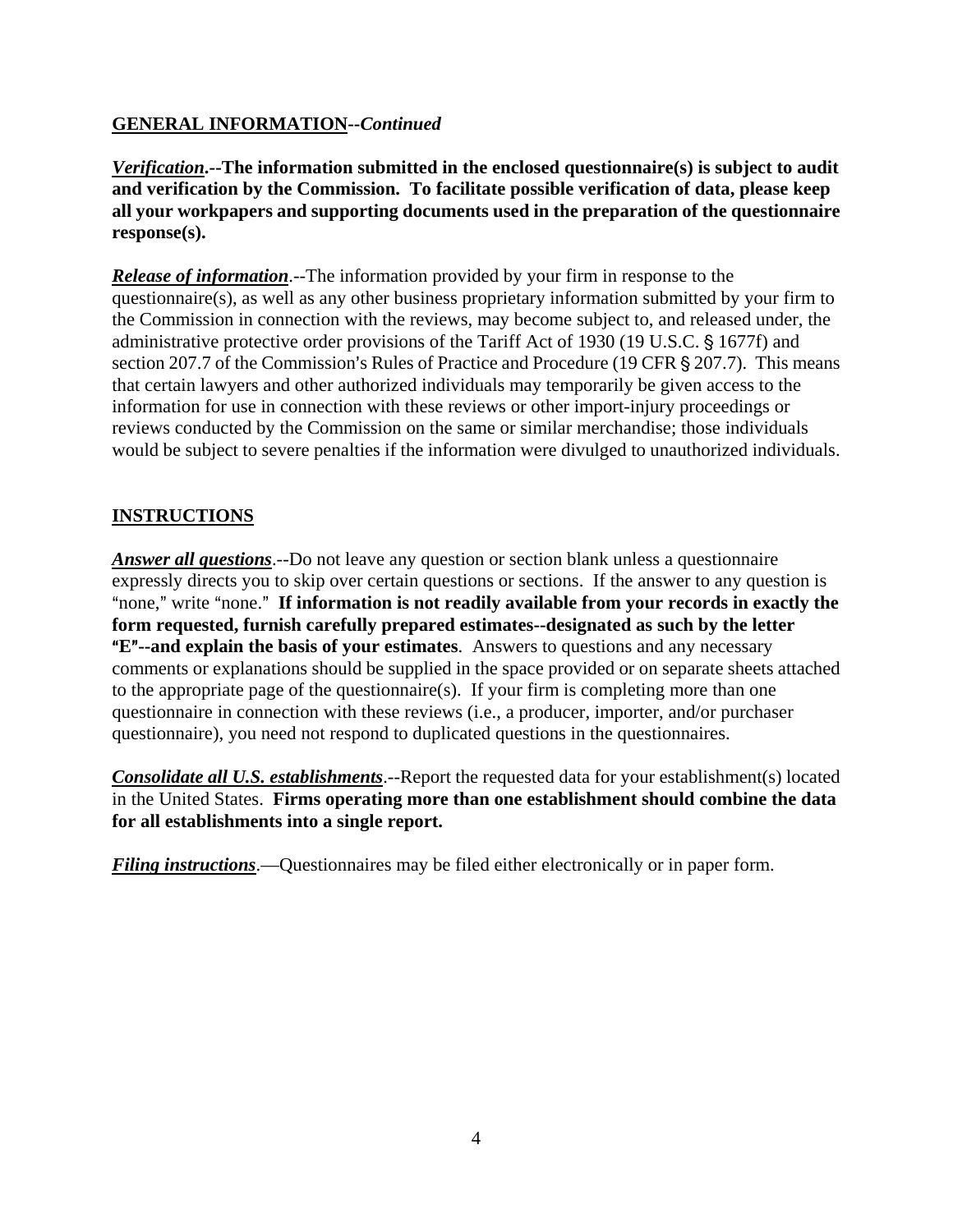## **GENERAL INFORMATION--***Continued*

*Verification***.--The information submitted in the enclosed questionnaire(s) is subject to audit and verification by the Commission. To facilitate possible verification of data, please keep all your workpapers and supporting documents used in the preparation of the questionnaire response(s).**

*Release of information*.--The information provided by your firm in response to the questionnaire(s), as well as any other business proprietary information submitted by your firm to the Commission in connection with the reviews, may become subject to, and released under, the administrative protective order provisions of the Tariff Act of 1930 (19 U.S.C. § 1677f) and section 207.7 of the Commission's Rules of Practice and Procedure (19 CFR  $\S$  207.7). This means that certain lawyers and other authorized individuals may temporarily be given access to the information for use in connection with these reviews or other import-injury proceedings or reviews conducted by the Commission on the same or similar merchandise; those individuals would be subject to severe penalties if the information were divulged to unauthorized individuals.

## **INSTRUCTIONS**

*Answer all questions*.--Do not leave any question or section blank unless a questionnaire expressly directs you to skip over certain questions or sections. If the answer to any question is "none," write "none." If information is not readily available from your records in exactly the **form requested, furnish carefully prepared estimates--designated as such by the letter E<sup>"</sup>--and explain the basis of your estimates**. Answers to questions and any necessary comments or explanations should be supplied in the space provided or on separate sheets attached to the appropriate page of the questionnaire(s). If your firm is completing more than one questionnaire in connection with these reviews (i.e., a producer, importer, and/or purchaser questionnaire), you need not respond to duplicated questions in the questionnaires.

*Consolidate all U.S. establishments.*--Report the requested data for your establishment(s) located in the United States. **Firms operating more than one establishment should combine the data for all establishments into a single report.**

*Filing instructions*.—Questionnaires may be filed either electronically or in paper form.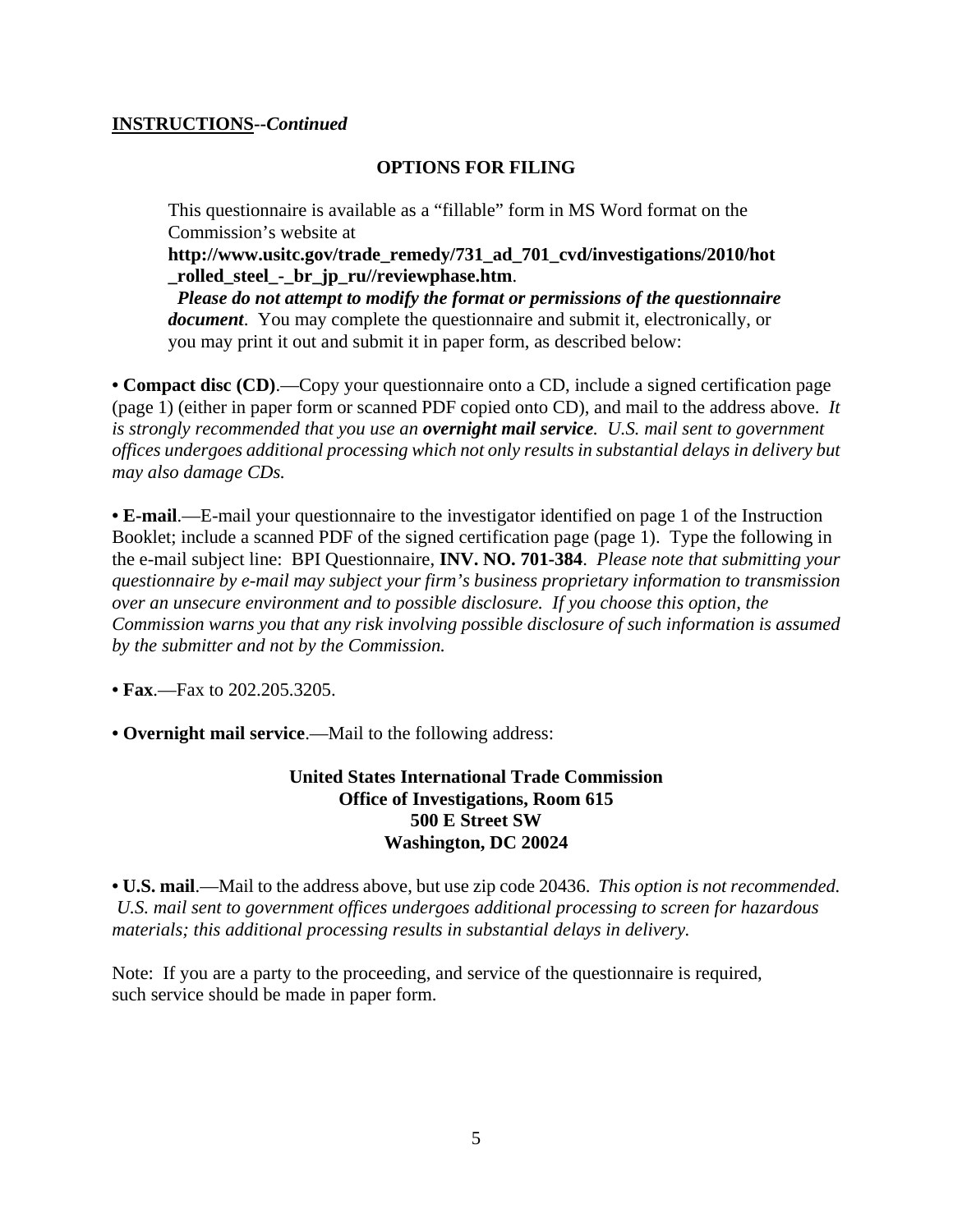#### **INSTRUCTIONS--***Continued*

## **OPTIONS FOR FILING**

This questionnaire is available as a "fillable" form in MS Word format on the Commission's website at

**http://www.usitc.gov/trade\_remedy/731\_ad\_701\_cvd/investigations/2010/hot \_rolled\_steel\_-\_br\_jp\_ru//reviewphase.htm**.

 *Please do not attempt to modify the format or permissions of the questionnaire document*. You may complete the questionnaire and submit it, electronically, or you may print it out and submit it in paper form, as described below:

**• Compact disc (CD)**.—Copy your questionnaire onto a CD, include a signed certification page (page 1) (either in paper form or scanned PDF copied onto CD), and mail to the address above. *It is strongly recommended that you use an overnight mail service. U.S. mail sent to government offices undergoes additional processing which not only results in substantial delays in delivery but may also damage CDs.* 

**• E-mail**.—E-mail your questionnaire to the investigator identified on page 1 of the Instruction Booklet; include a scanned PDF of the signed certification page (page 1). Type the following in the e-mail subject line: BPI Questionnaire, **INV. NO. 701-384**. *Please note that submitting your questionnaire by e-mail may subject your firm's business proprietary information to transmission over an unsecure environment and to possible disclosure. If you choose this option, the Commission warns you that any risk involving possible disclosure of such information is assumed by the submitter and not by the Commission.* 

**• Fax**.—Fax to 202.205.3205.

**• Overnight mail service**.—Mail to the following address:

## **United States International Trade Commission Office of Investigations, Room 615 500 E Street SW Washington, DC 20024**

**• U.S. mail**.—Mail to the address above, but use zip code 20436. *This option is not recommended. U.S. mail sent to government offices undergoes additional processing to screen for hazardous materials; this additional processing results in substantial delays in delivery.* 

Note: If you are a party to the proceeding, and service of the questionnaire is required, such service should be made in paper form.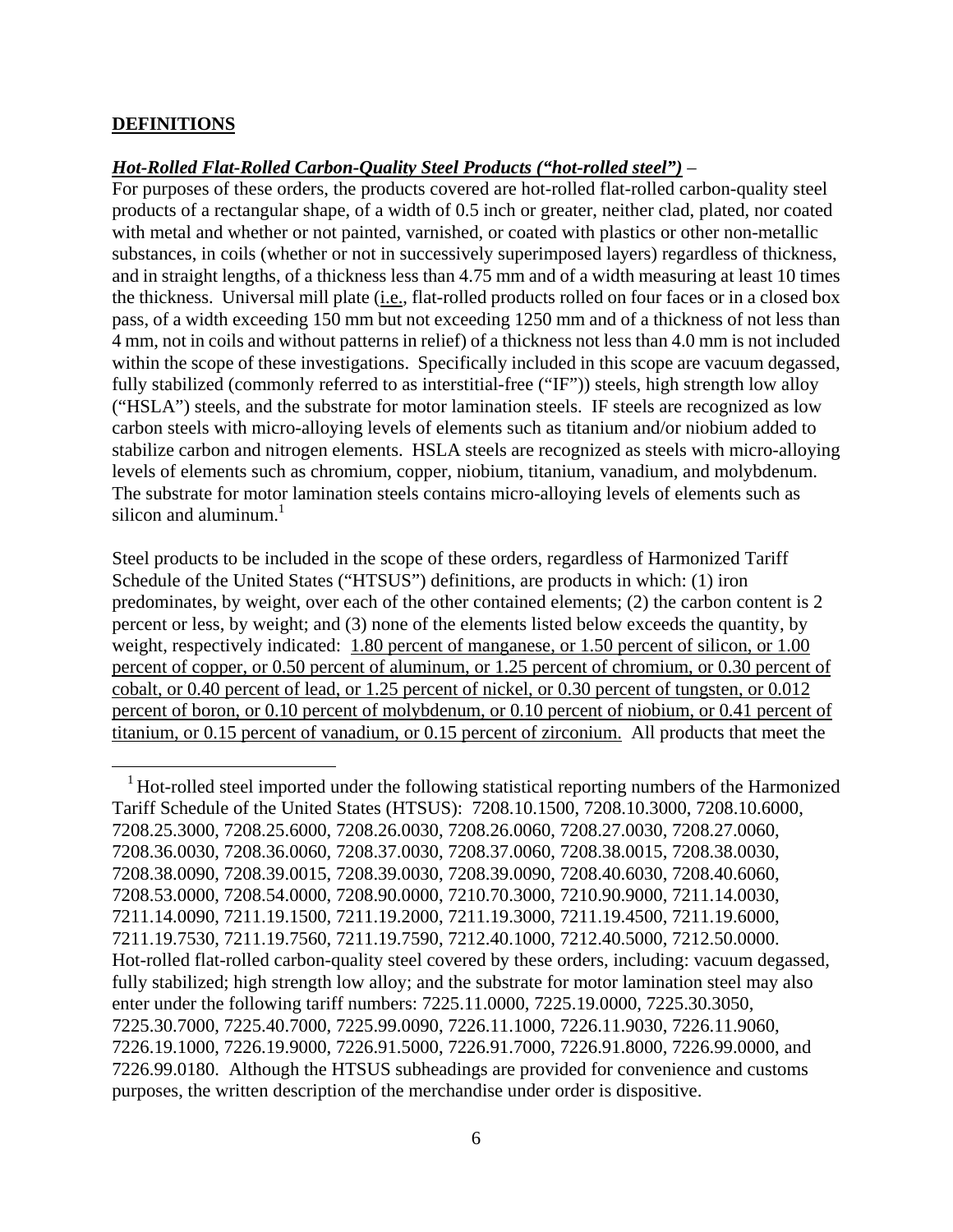#### **DEFINITIONS**

 $\overline{a}$ 

#### *Hot-Rolled Flat-Rolled Carbon-Quality Steel Products ("hot-rolled steel")* –

For purposes of these orders, the products covered are hot-rolled flat-rolled carbon-quality steel products of a rectangular shape, of a width of 0.5 inch or greater, neither clad, plated, nor coated with metal and whether or not painted, varnished, or coated with plastics or other non-metallic substances, in coils (whether or not in successively superimposed layers) regardless of thickness, and in straight lengths, of a thickness less than 4.75 mm and of a width measuring at least 10 times the thickness. Universal mill plate (i.e., flat-rolled products rolled on four faces or in a closed box pass, of a width exceeding 150 mm but not exceeding 1250 mm and of a thickness of not less than 4 mm, not in coils and without patterns in relief) of a thickness not less than 4.0 mm is not included within the scope of these investigations. Specifically included in this scope are vacuum degassed, fully stabilized (commonly referred to as interstitial-free ("IF")) steels, high strength low alloy ("HSLA") steels, and the substrate for motor lamination steels. IF steels are recognized as low carbon steels with micro-alloying levels of elements such as titanium and/or niobium added to stabilize carbon and nitrogen elements. HSLA steels are recognized as steels with micro-alloying levels of elements such as chromium, copper, niobium, titanium, vanadium, and molybdenum. The substrate for motor lamination steels contains micro-alloying levels of elements such as silicon and aluminum. $<sup>1</sup>$ </sup>

Steel products to be included in the scope of these orders, regardless of Harmonized Tariff Schedule of the United States ("HTSUS") definitions, are products in which: (1) iron predominates, by weight, over each of the other contained elements; (2) the carbon content is 2 percent or less, by weight; and (3) none of the elements listed below exceeds the quantity, by weight, respectively indicated: 1.80 percent of manganese, or 1.50 percent of silicon, or 1.00 percent of copper, or 0.50 percent of aluminum, or 1.25 percent of chromium, or 0.30 percent of cobalt, or 0.40 percent of lead, or 1.25 percent of nickel, or 0.30 percent of tungsten, or 0.012 percent of boron, or 0.10 percent of molybdenum, or 0.10 percent of niobium, or 0.41 percent of titanium, or 0.15 percent of vanadium, or 0.15 percent of zirconium. All products that meet the

<sup>&</sup>lt;sup>1</sup> Hot-rolled steel imported under the following statistical reporting numbers of the Harmonized Tariff Schedule of the United States (HTSUS): 7208.10.1500, 7208.10.3000, 7208.10.6000, 7208.25.3000, 7208.25.6000, 7208.26.0030, 7208.26.0060, 7208.27.0030, 7208.27.0060, 7208.36.0030, 7208.36.0060, 7208.37.0030, 7208.37.0060, 7208.38.0015, 7208.38.0030, 7208.38.0090, 7208.39.0015, 7208.39.0030, 7208.39.0090, 7208.40.6030, 7208.40.6060, 7208.53.0000, 7208.54.0000, 7208.90.0000, 7210.70.3000, 7210.90.9000, 7211.14.0030, 7211.14.0090, 7211.19.1500, 7211.19.2000, 7211.19.3000, 7211.19.4500, 7211.19.6000, 7211.19.7530, 7211.19.7560, 7211.19.7590, 7212.40.1000, 7212.40.5000, 7212.50.0000. Hot-rolled flat-rolled carbon-quality steel covered by these orders, including: vacuum degassed, fully stabilized; high strength low alloy; and the substrate for motor lamination steel may also enter under the following tariff numbers: 7225.11.0000, 7225.19.0000, 7225.30.3050, 7225.30.7000, 7225.40.7000, 7225.99.0090, 7226.11.1000, 7226.11.9030, 7226.11.9060, 7226.19.1000, 7226.19.9000, 7226.91.5000, 7226.91.7000, 7226.91.8000, 7226.99.0000, and 7226.99.0180. Although the HTSUS subheadings are provided for convenience and customs purposes, the written description of the merchandise under order is dispositive.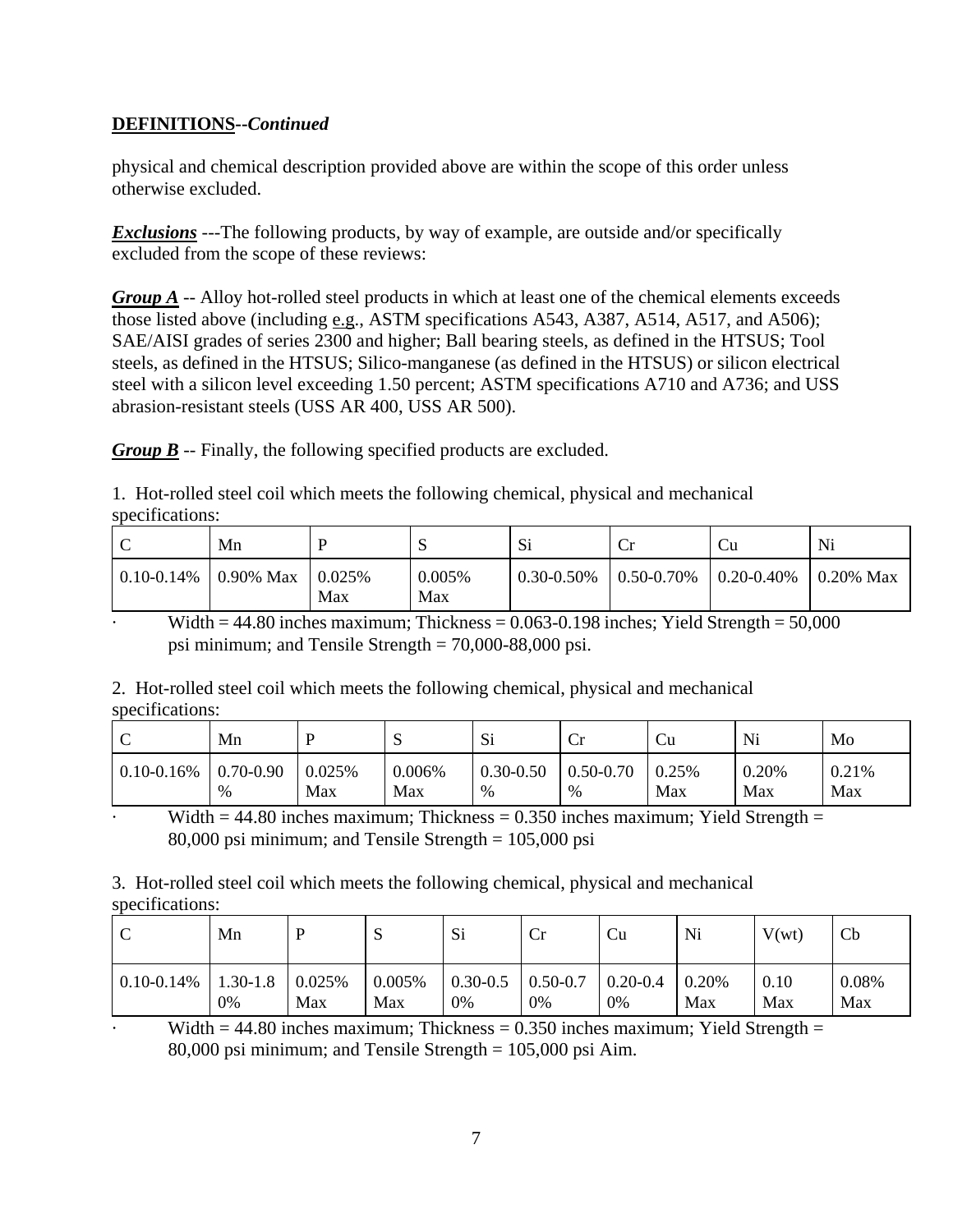physical and chemical description provided above are within the scope of this order unless otherwise excluded.

*Exclusions* ---The following products, by way of example, are outside and/or specifically excluded from the scope of these reviews:

*Group A* -- Alloy hot-rolled steel products in which at least one of the chemical elements exceeds those listed above (including e.g., ASTM specifications A543, A387, A514, A517, and A506); SAE/AISI grades of series 2300 and higher; Ball bearing steels, as defined in the HTSUS; Tool steels, as defined in the HTSUS; Silico-manganese (as defined in the HTSUS) or silicon electrical steel with a silicon level exceeding 1.50 percent; ASTM specifications A710 and A736; and USS abrasion-resistant steels (USS AR 400, USS AR 500).

*Group B* -- Finally, the following specified products are excluded.

1. Hot-rolled steel coil which meets the following chemical, physical and mechanical specifications:

|                 | Mn           |                      | ◡             | Si         | ີ               | Ċu              | Ni                |
|-----------------|--------------|----------------------|---------------|------------|-----------------|-----------------|-------------------|
| $0.10 - 0.14\%$ | $0.90\%$ Max | $\pm 0.025\%$<br>Max | 0.005%<br>Max | 0.30-0.50% | $0.50 - 0.70\%$ | $0.20 - 0.40\%$ | $\vert$ 0.20% Max |

Width  $= 44.80$  inches maximum; Thickness  $= 0.063 - 0.198$  inches; Yield Strength  $= 50,000$ psi minimum; and Tensile Strength = 70,000-88,000 psi.

2. Hot-rolled steel coil which meets the following chemical, physical and mechanical specifications:

| ◡               | Mn            | D      | C<br>υ | Si            | ◡             | ∪∪    | Ni    | Mo    |
|-----------------|---------------|--------|--------|---------------|---------------|-------|-------|-------|
| $0.10 - 0.16\%$ | $0.70 - 0.90$ | 0.025% | 0.006% | $0.30 - 0.50$ | $0.50 - 0.70$ | 0.25% | 0.20% | 0.21% |
|                 | %             | Max    | Max    | $\%$          | %             | Max   | Max   | Max   |

Width  $= 44.80$  inches maximum; Thickness  $= 0.350$  inches maximum; Yield Strength  $=$ 80,000 psi minimum; and Tensile Strength = 105,000 psi

3. Hot-rolled steel coil which meets the following chemical, physical and mechanical specifications:

| ◡               | Mn           |        | ້      | Si           | Cr                | Cu           | Ni       | V(wt) | Cb    |
|-----------------|--------------|--------|--------|--------------|-------------------|--------------|----------|-------|-------|
| $0.10 - 0.14\%$ | $1.30 - 1.8$ | 0.025% | 0.005% | $0.30 - 0.5$ | $\mid 0.50 - 0.7$ | $0.20 - 0.4$ | $0.20\%$ | 0.10  | 0.08% |
|                 | 0%           | Max    | Max    | 0%           | 0%                | 0%           | Max      | Max   | Max   |

Width  $= 44.80$  inches maximum; Thickness  $= 0.350$  inches maximum; Yield Strength  $=$ 80,000 psi minimum; and Tensile Strength = 105,000 psi Aim.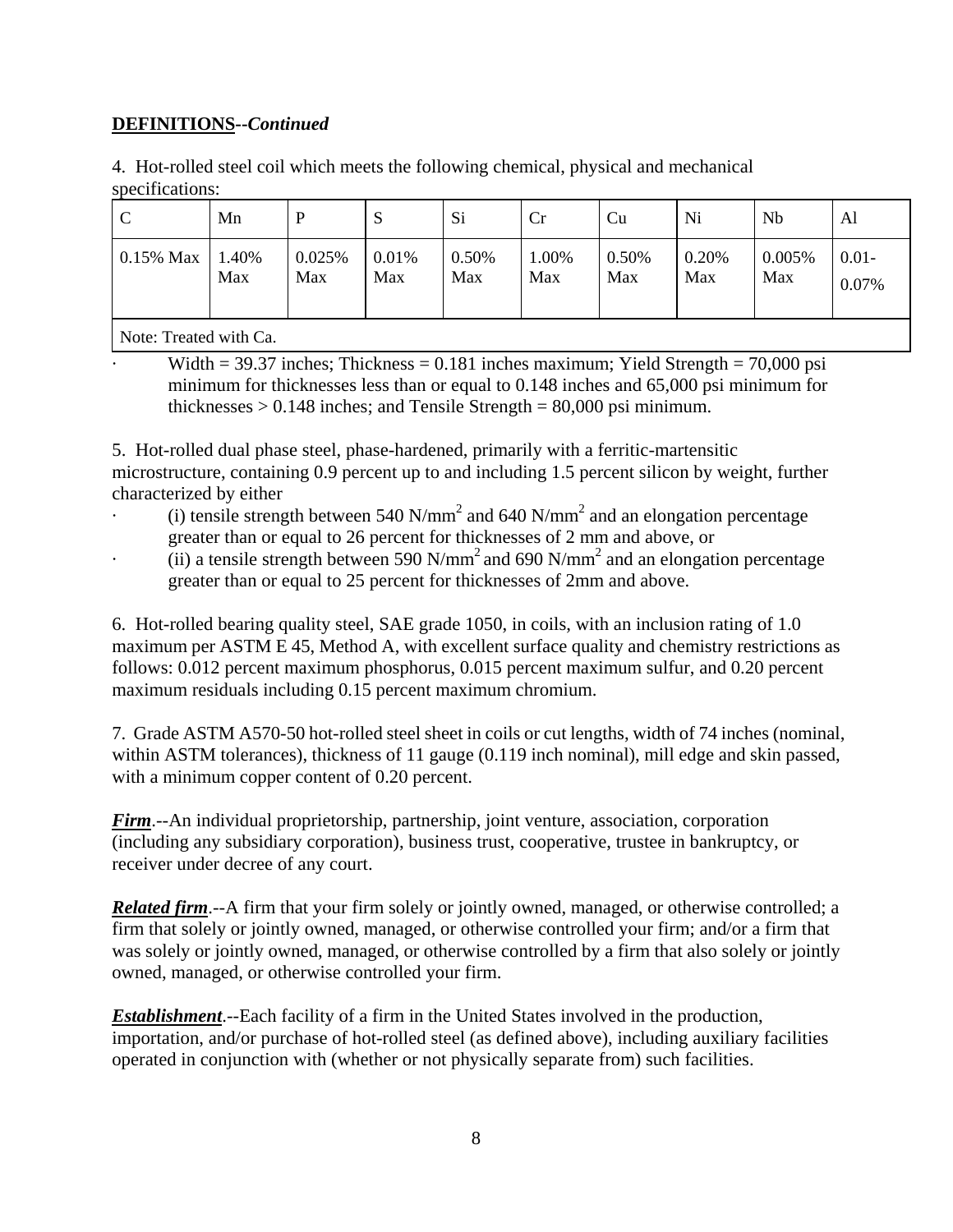4. Hot-rolled steel coil which meets the following chemical, physical and mechanical specifications:

| $0.01 -$<br>1.40%<br>0.025%<br>0.01%<br>0.50%<br>1.00%<br>0.50%<br>0.20%<br>0.005%<br>$0.15\%$ Max<br>Max<br>Max<br>Max<br>Max<br>Max<br>Max<br>Max<br>Max<br>0.07% | $\mathcal{C}$ | Mn | P | دب | Si | Cr | Cu | Ni | Nb | Al |
|---------------------------------------------------------------------------------------------------------------------------------------------------------------------|---------------|----|---|----|----|----|----|----|----|----|
|                                                                                                                                                                     |               |    |   |    |    |    |    |    |    |    |

Note: Treated with Ca.

Width = 39.37 inches; Thickness = 0.181 inches maximum; Yield Strength = 70,000 psi minimum for thicknesses less than or equal to 0.148 inches and 65,000 psi minimum for thicknesses  $> 0.148$  inches; and Tensile Strength = 80,000 psi minimum.

5. Hot-rolled dual phase steel, phase-hardened, primarily with a ferritic-martensitic microstructure, containing 0.9 percent up to and including 1.5 percent silicon by weight, further characterized by either

- $\cdot$  (i) tensile strength between 540 N/mm<sup>2</sup> and 640 N/mm<sup>2</sup> and an elongation percentage greater than or equal to 26 percent for thicknesses of 2 mm and above, or
- $\cdot$  (ii) a tensile strength between 590 N/mm<sup>2</sup> and 690 N/mm<sup>2</sup> and an elongation percentage greater than or equal to 25 percent for thicknesses of 2mm and above.

6. Hot-rolled bearing quality steel, SAE grade 1050, in coils, with an inclusion rating of 1.0 maximum per ASTM E 45, Method A, with excellent surface quality and chemistry restrictions as follows: 0.012 percent maximum phosphorus, 0.015 percent maximum sulfur, and 0.20 percent maximum residuals including 0.15 percent maximum chromium.

7. Grade ASTM A570-50 hot-rolled steel sheet in coils or cut lengths, width of 74 inches (nominal, within ASTM tolerances), thickness of 11 gauge (0.119 inch nominal), mill edge and skin passed, with a minimum copper content of 0.20 percent.

*Firm*.--An individual proprietorship, partnership, joint venture, association, corporation (including any subsidiary corporation), business trust, cooperative, trustee in bankruptcy, or receiver under decree of any court.

*Related firm.*--A firm that your firm solely or jointly owned, managed, or otherwise controlled; a firm that solely or jointly owned, managed, or otherwise controlled your firm; and/or a firm that was solely or jointly owned, managed, or otherwise controlled by a firm that also solely or jointly owned, managed, or otherwise controlled your firm.

*Establishment*.--Each facility of a firm in the United States involved in the production, importation, and/or purchase of hot-rolled steel (as defined above), including auxiliary facilities operated in conjunction with (whether or not physically separate from) such facilities.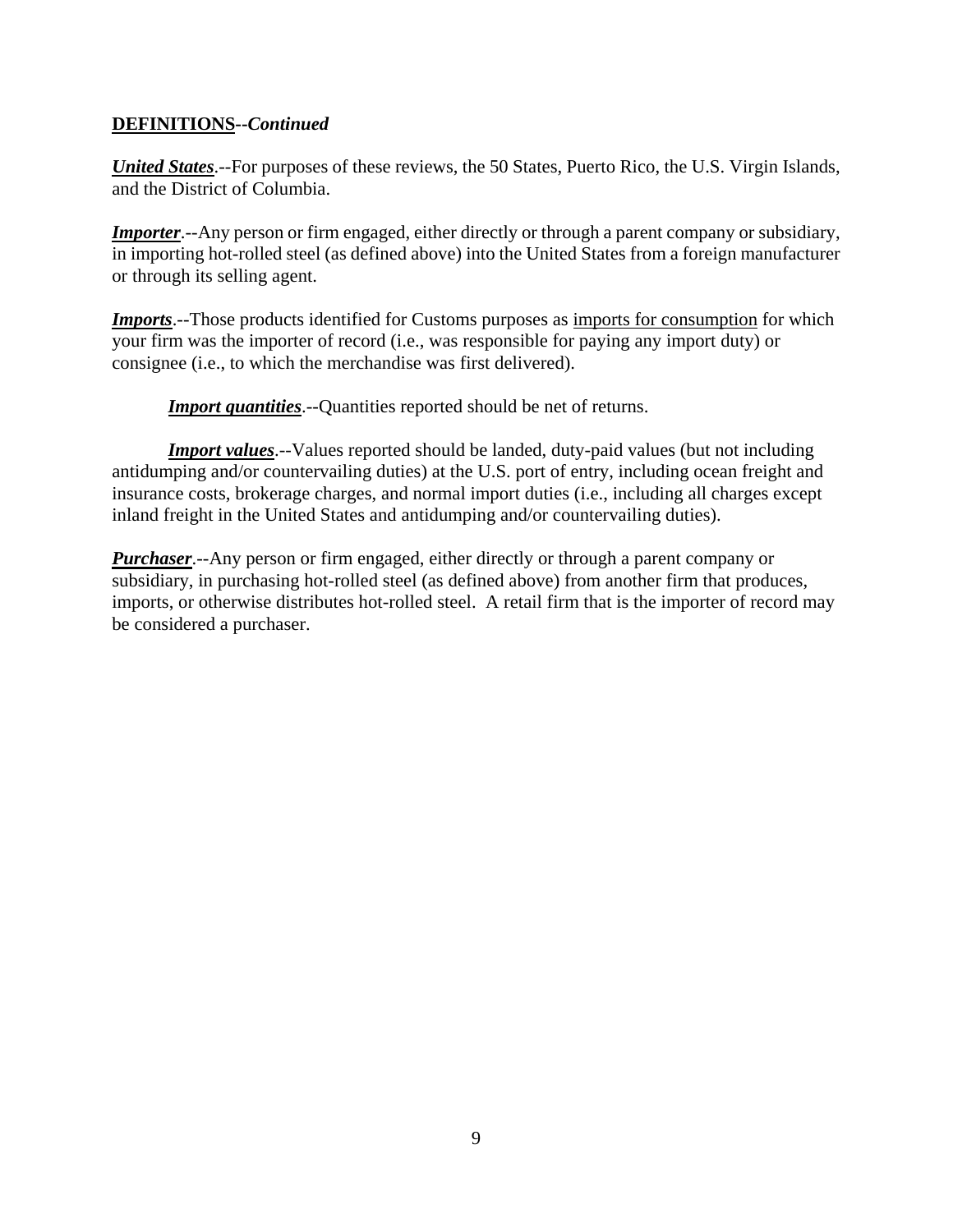*United States*.--For purposes of these reviews, the 50 States, Puerto Rico, the U.S. Virgin Islands, and the District of Columbia.

*Importer*.--Any person or firm engaged, either directly or through a parent company or subsidiary, in importing hot-rolled steel (as defined above) into the United States from a foreign manufacturer or through its selling agent.

*Imports*.--Those products identified for Customs purposes as *imports* for consumption for which your firm was the importer of record (i.e., was responsible for paying any import duty) or consignee (i.e., to which the merchandise was first delivered).

**Import quantities**.--Quantities reported should be net of returns.

*Import values*.--Values reported should be landed, duty-paid values (but not including antidumping and/or countervailing duties) at the U.S. port of entry, including ocean freight and insurance costs, brokerage charges, and normal import duties (i.e., including all charges except inland freight in the United States and antidumping and/or countervailing duties).

*Purchaser*.--Any person or firm engaged, either directly or through a parent company or subsidiary, in purchasing hot-rolled steel (as defined above) from another firm that produces, imports, or otherwise distributes hot-rolled steel. A retail firm that is the importer of record may be considered a purchaser.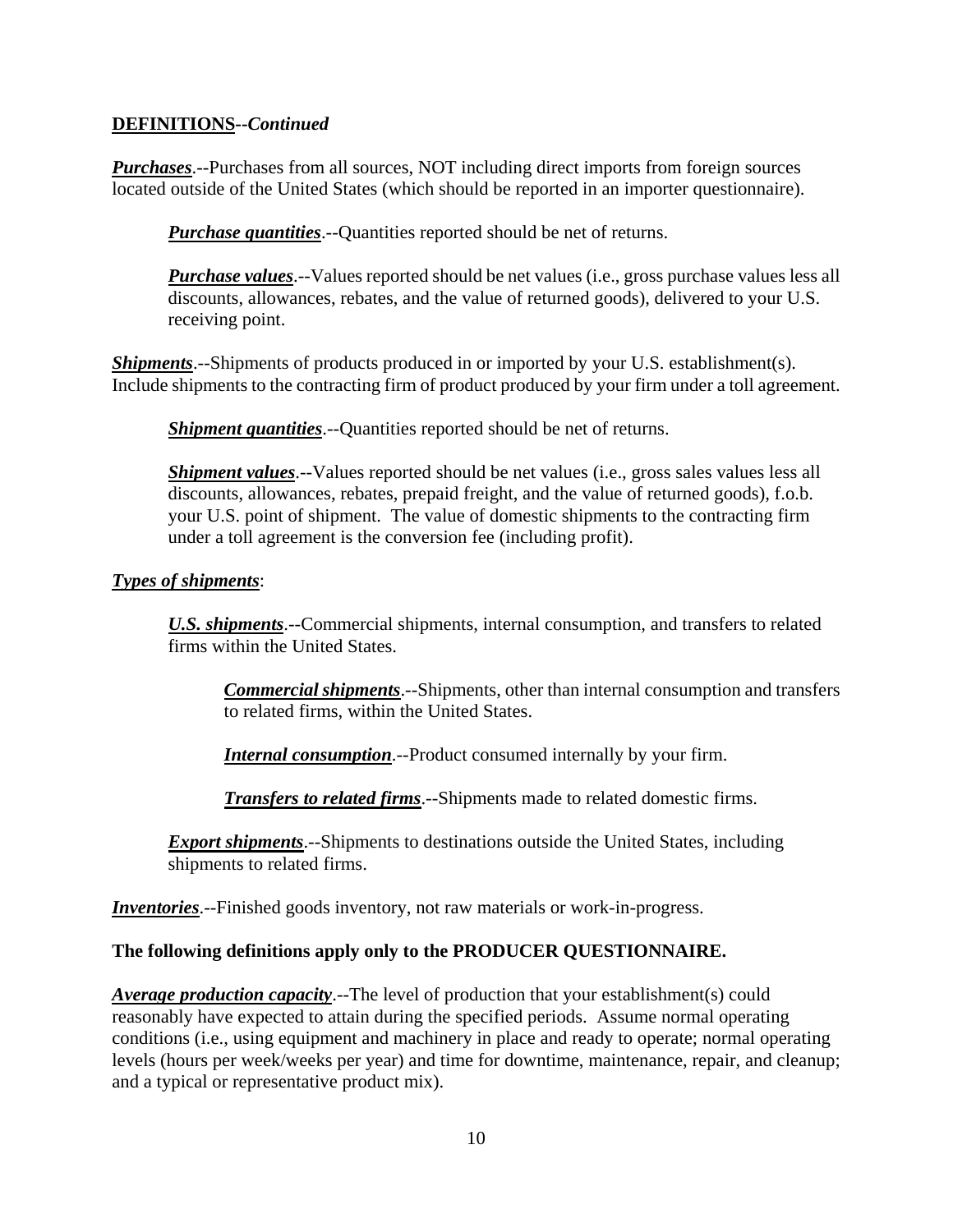*Purchases*.--Purchases from all sources, NOT including direct imports from foreign sources located outside of the United States (which should be reported in an importer questionnaire).

*Purchase quantities*.--Quantities reported should be net of returns.

*Purchase values*.--Values reported should be net values (i.e., gross purchase values less all discounts, allowances, rebates, and the value of returned goods), delivered to your U.S. receiving point.

*Shipments*.--Shipments of products produced in or imported by your U.S. establishment(s). Include shipments to the contracting firm of product produced by your firm under a toll agreement.

*Shipment quantities*.--Quantities reported should be net of returns.

*Shipment values*.--Values reported should be net values (*i.e.*, gross sales values less all discounts, allowances, rebates, prepaid freight, and the value of returned goods), f.o.b. your U.S. point of shipment. The value of domestic shipments to the contracting firm under a toll agreement is the conversion fee (including profit).

## *Types of shipments*:

*U.S. shipments*.--Commercial shipments, internal consumption, and transfers to related firms within the United States.

*Commercial shipments*.--Shipments, other than internal consumption and transfers to related firms, within the United States.

*Internal consumption*.--Product consumed internally by your firm.

*Transfers to related firms*.--Shipments made to related domestic firms.

*Export shipments*.--Shipments to destinations outside the United States, including shipments to related firms.

*Inventories*.--Finished goods inventory, not raw materials or work-in-progress.

#### **The following definitions apply only to the PRODUCER QUESTIONNAIRE.**

*Average production capacity*.--The level of production that your establishment(s) could reasonably have expected to attain during the specified periods. Assume normal operating conditions (i.e., using equipment and machinery in place and ready to operate; normal operating levels (hours per week/weeks per year) and time for downtime, maintenance, repair, and cleanup; and a typical or representative product mix).